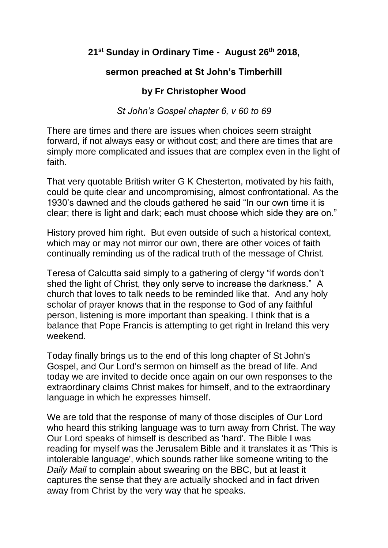## **21st Sunday in Ordinary Time - August 26th 2018,**

## **sermon preached at St John's Timberhill**

## **by Fr Christopher Wood**

*St John's Gospel chapter 6, v 60 to 69*

There are times and there are issues when choices seem straight forward, if not always easy or without cost; and there are times that are simply more complicated and issues that are complex even in the light of faith.

That very quotable British writer G K Chesterton, motivated by his faith, could be quite clear and uncompromising, almost confrontational. As the 1930's dawned and the clouds gathered he said "In our own time it is clear; there is light and dark; each must choose which side they are on."

History proved him right. But even outside of such a historical context, which may or may not mirror our own, there are other voices of faith continually reminding us of the radical truth of the message of Christ.

Teresa of Calcutta said simply to a gathering of clergy "if words don't shed the light of Christ, they only serve to increase the darkness." A church that loves to talk needs to be reminded like that. And any holy scholar of prayer knows that in the response to God of any faithful person, listening is more important than speaking. I think that is a balance that Pope Francis is attempting to get right in Ireland this very weekend.

Today finally brings us to the end of this long chapter of St John's Gospel, and Our Lord's sermon on himself as the bread of life. And today we are invited to decide once again on our own responses to the extraordinary claims Christ makes for himself, and to the extraordinary language in which he expresses himself.

We are told that the response of many of those disciples of Our Lord who heard this striking language was to turn away from Christ. The way Our Lord speaks of himself is described as 'hard'. The Bible I was reading for myself was the Jerusalem Bible and it translates it as 'This is intolerable language', which sounds rather like someone writing to the *Daily Mail* to complain about swearing on the BBC, but at least it captures the sense that they are actually shocked and in fact driven away from Christ by the very way that he speaks.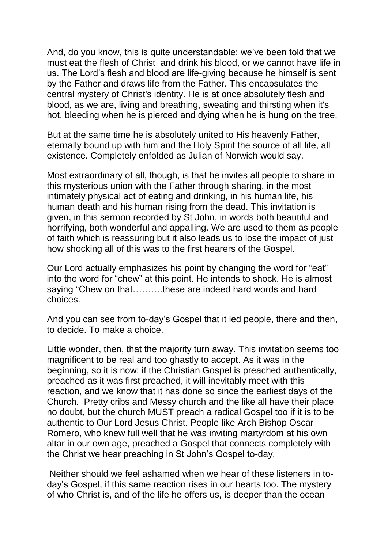And, do you know, this is quite understandable: we've been told that we must eat the flesh of Christ and drink his blood, or we cannot have life in us. The Lord's flesh and blood are life-giving because he himself is sent by the Father and draws life from the Father. This encapsulates the central mystery of Christ's identity. He is at once absolutely flesh and blood, as we are, living and breathing, sweating and thirsting when it's hot, bleeding when he is pierced and dying when he is hung on the tree.

But at the same time he is absolutely united to His heavenly Father, eternally bound up with him and the Holy Spirit the source of all life, all existence. Completely enfolded as Julian of Norwich would say.

Most extraordinary of all, though, is that he invites all people to share in this mysterious union with the Father through sharing, in the most intimately physical act of eating and drinking, in his human life, his human death and his human rising from the dead. This invitation is given, in this sermon recorded by St John, in words both beautiful and horrifying, both wonderful and appalling. We are used to them as people of faith which is reassuring but it also leads us to lose the impact of just how shocking all of this was to the first hearers of the Gospel.

Our Lord actually emphasizes his point by changing the word for "eat" into the word for "chew" at this point. He intends to shock. He is almost saying "Chew on that……….these are indeed hard words and hard choices.

And you can see from to-day's Gospel that it led people, there and then, to decide. To make a choice.

Little wonder, then, that the majority turn away. This invitation seems too magnificent to be real and too ghastly to accept. As it was in the beginning, so it is now: if the Christian Gospel is preached authentically, preached as it was first preached, it will inevitably meet with this reaction, and we know that it has done so since the earliest days of the Church. Pretty cribs and Messy church and the like all have their place no doubt, but the church MUST preach a radical Gospel too if it is to be authentic to Our Lord Jesus Christ. People like Arch Bishop Oscar Romero, who knew full well that he was inviting martyrdom at his own altar in our own age, preached a Gospel that connects completely with the Christ we hear preaching in St John's Gospel to-day.

Neither should we feel ashamed when we hear of these listeners in today's Gospel, if this same reaction rises in our hearts too. The mystery of who Christ is, and of the life he offers us, is deeper than the ocean